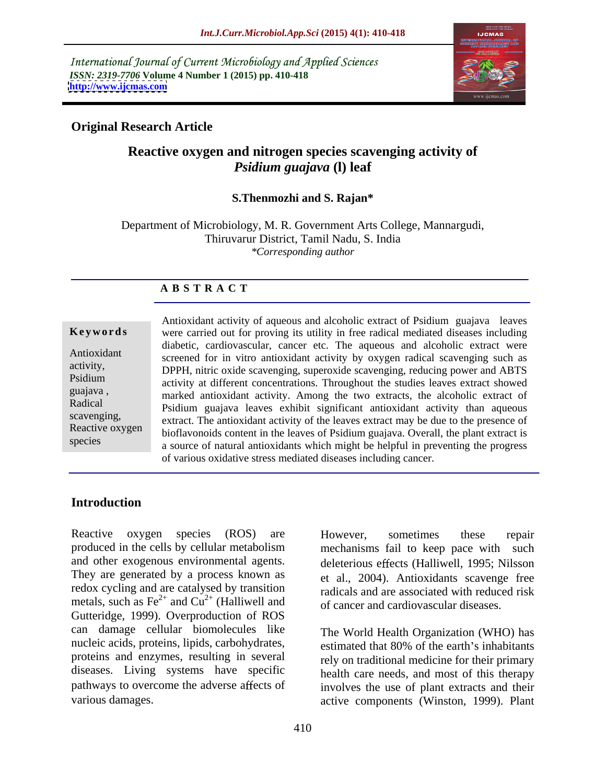International Journal of Current Microbiology and Applied Sciences *ISSN: 2319-7706* **Volume 4 Number 1 (2015) pp. 410-418 <http://www.ijcmas.com>**



# **Original Research Article**

# **Reactive oxygen and nitrogen species scavenging activity of**  *Psidium guajava* **(l) leaf**

### **S.Thenmozhi and S. Rajan\***

Department of Microbiology, M. R. Government Arts College, Mannargudi, Thiruvarur District, Tamil Nadu, S. India *\*Corresponding author*

### **A B S T R A C T**

species

Antioxidant activity of aqueous and alcoholic extract of Psidium guajava leaves were carried out for proving its utility in free radical mediated diseases including **Ke ywo rds** diabetic, cardiovascular, cancer etc. The aqueous and alcoholic extract were Antioxidant screened for in vitro antioxidant activity by oxygen radical scavenging such as activity,<br>DPPH, nitric oxide scavenging, superoxide scavenging, reducing power and ABTS Psidium<br>activity at different concentrations. Throughout the studies leaves extract showed guajava, marked antioxidant activity. Among the two extracts, the alcoholic extract of Radical<br>
Psidium guajava leaves exhibit significant antioxidant activity than aqueous extract. The antioxidant activity of the leaves extract may be due to the presence of Reactive oxygen bioflavonoids content in the leaves of Psidium guajava. Overall, the plant extract is a source of natural antioxidants which might be helpful in preventing the progress of various oxidative stress mediated diseases including cancer.

# **Introduction**

Reactive oxygen species (ROS) are However, sometimes these repair produced in the cells by cellular metabolism and other exogenous environmental agents.<br>They are generated by a process known as  $\begin{array}{c|c}\n\text{d} & \text{d} & \text{2004} \\
\text{d} & \text{2004} & \text{Antioxidants} & \text{scavenge free}\n\end{array}$ redox cycling and are catalysed by transition metals, such as  $\text{Fe}^{2+}$  and  $\text{Cu}^{2+}$  (Halliwell and  $\text{O}^{2+}$  of cancer and cardiovascular diseases Gutteridge, 1999). Overproduction of ROS can damage cellular biomolecules like nucleic acids, proteins, lipids, carbohydrates,<br>estimated that 80% of the earth's inhabitants proteins and enzymes, resulting in several diseases. Living systems have specific pathways to overcome the adverse affects of involves the use of plant extracts and their

and Cu<sup>2+</sup> (Halliwell and of cancer and cardiovascular diseases. However, sometimes these repair mechanisms fail to keep pace with deleterious effects (Halliwell, 1995; Nilsson et al., 2004). Antioxidants scavenge free radicals and are associated with reduced risk

various damages. active components (Winston, 1999). Plant The World Health Organization (WHO) has estimated that 80% of the earth's inhabitants rely on traditional medicine for their primary health care needs, and most of this therapy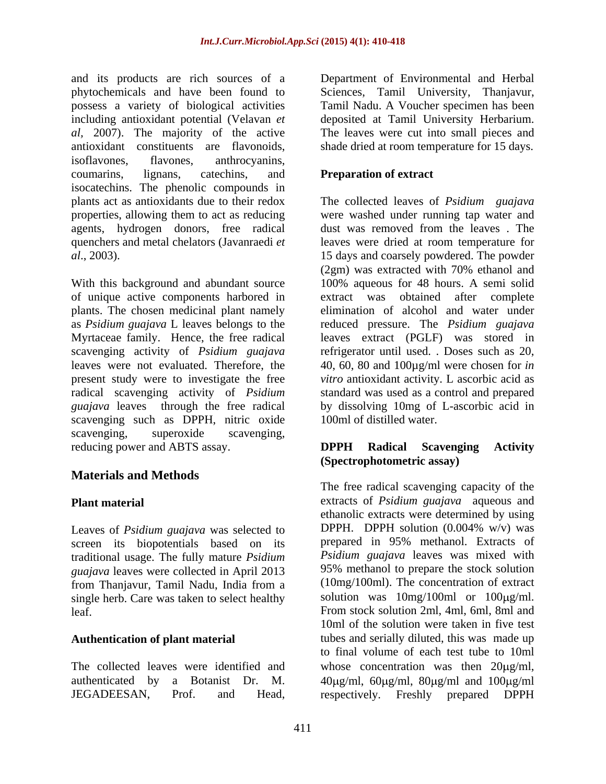and its products are rich sources of a Department of Environmental and Herbal phytochemicals and have been found to Sciences, Tamil University, Thanjavur, possess a variety of biological activities including antioxidant potential (Velavan *et*  deposited at Tamil University Herbarium. *al,* 2007). The majority of the active The leaves were cut into small pieces and antioxidant constituents are flavonoids, shade dried at room temperature for 15 days. isoflavones, flavones, anthrocyanins, coumarins, lignans, catechins, and **Preparation of extract** isocatechins. The phenolic compounds in plants act as antioxidants due to their redox The collected leaves of *Psidium guajava* properties, allowing them to act as reducing were washed under running tap water and agents, hydrogen donors, free radical quenchers and metal chelators (Javanraedi *et* leaves were dried at room temperature for *al*., 2003). 15 days and coarsely powdered. The powder

With this background and abundant source 100% aqueous for 48 hours. A semi solid of unique active components harbored in plants. The chosen medicinal plant namely elimination of alcohol and water under as *Psidium guajava* L leaves belongs to the reduced pressure. The *Psidium guajava* Myrtaceae family. Hence, the free radical leaves extract (PGLF) was stored in scavenging activity of *Psidium guajava* refrigerator until used. . Doses such as 20, leaves were not evaluated. Therefore, the 40, 60, 80 and 100µg/ml were chosen for *in*  present study were to investigate the free *vitro* antioxidant activity. L ascorbic acid as radical scavenging activity of *Psidium*  standard was used as a control and prepared *guajava* leaves through the free radical scavenging such as DPPH, nitric oxide scavenging, superoxide scavenging, reducing power and ABTS assay. **DPPH** Radical Scavenging Activity

# **Materials and Methods**

screen its biopotentials based on its traditional usage. The fully mature *Psidium guajava* leaves were collected in April 2013 from Thanjavur, Tamil Nadu, India from a single herb. Care was taken to select healthy

### **Authentication of plant material**

Tamil Nadu. A Voucher specimen has been

# **Preparation of extract**

and its produces are chosses of a Topanome of Environmental and Herbal possess a variety of bottograd activities<br> $^2$  Department of Environmental and New Section Herbal Mathematical policies<br> $^2$  Department of Environment dust was removed from the leaves . The leaves were dried at room temperature for (2gm) was extracted with 70% ethanol and extract was obtained after complete by dissolving 10mg of L-ascorbic acid in 100ml of distilled water.

# **DPPH Radical Scavenging Activity (Spectrophotometric assay)**

**Plant material**  extracts of *Psidium guajava* aqueous and Leaves of *Psidium guajava* was selected to DPPH. DPPH solution (0.004% w/v) was leaf. From stock solution 2ml, 4ml, 6ml, 8ml and The collected leaves were identified and whose concentration was then  $20\mu g/ml$ , authenticated by a Botanist Dr. M.  $40\mu\text{g/ml}$ ,  $60\mu\text{g/ml}$ ,  $80\mu\text{g/ml}$  and  $100\mu\text{g/ml}$ The free radical scavenging capacity of the ethanolic extracts were determined by using DPPH. DPPH solution  $(0.004\% \text{ w/v})$  was prepared in 95% methanol. Extracts of *Psidium guajava* leaves was mixed with 95% methanol to prepare the stock solution (10mg/100ml). The concentration of extract solution was  $10mg/100ml$  or  $100\mu g/ml$ . 10ml of the solution were taken in five test tubes and serially diluted, this was made up to final volume of each test tube to 10ml respectively. Freshly prepared DPPH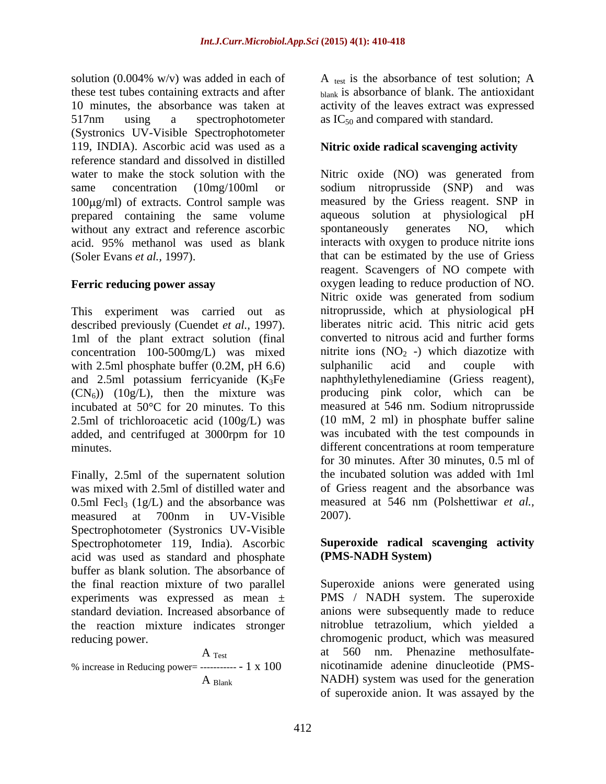solution (0.004% w/v) was added in each of  $A$  test is the absorbance of test solution; A these test tubes containing extracts and after  $\qquad \qquad \text{blank}$  is absorbance of blank. The antioxidant 10 minutes, the absorbance was taken at activity of the leaves extract was expressed 517nm using a spectrophotometer as  $IC_{50}$  and compared with standard. (Systronics UV-Visible Spectrophotometer 119, INDIA). Ascorbic acid was used as a reference standard and dissolved in distilled  $100\mu g/ml$ ) of extracts. Control sample was prepared containing the same volume aqueous solution at physiologi<br>without any extract and reference ascorbic spontaneously generates NO, without any extract and reference ascorbic spontaneously generates NO, which

This experiment was carried out as described previously (Cuendet *et al.,* 1997). 1ml of the plant extract solution (final concentration 100-500mg/L) was mixed nitrite ions  $(NO<sub>2</sub> - with 2.5ml obosphate buffer (0.2M, pH 6.6)$  sulphanilic acid with 2.5ml phosphate buffer (0.2M, pH 6.6) sulphanilic acid and couple with and 2.5ml potassium ferricyanide  $(K_3Fe)$  $(CN_6)$  (10g/L), then the mixture was added, and centrifuged at 3000rpm for 10

Finally, 2.5ml of the supernatent solution was mixed with 2.5ml of distilled water and 0.5ml Fecl<sub>3</sub> (1g/L) and the absorbance was measured at 700nm in UV-Visible Spectrophotometer (Systronics UV-Visible Spectrophotometer 119, India). Ascorbic acid was used as standard and phosphate buffer as blank solution. The absorbance of experiments was expressed as mean ± the reaction mixture indicates stronger

$$
A_{\text{res}}
$$

% increase in Reducing power= ----------- - 1 x 100

as  $IC_{50}$  and compared with standard.

### **Nitric oxide radical scavenging activity**

water to make the stock solution with the Nitric oxide (NO) was generated from same concentration (10mg/100ml or sodium nitroprusside (SNP) and was acid. 95% methanol was used as blank interacts with oxygen to produce nitrite ions (Soler Evans *et al.*, 1997). that can be estimated by the use of Griess **Ferric reducing power assay** oxygen leading to reduce production of NO. incubated at 50°C for 20 minutes. To this measured at 546 nm. Sodium nitroprusside 2.5ml of trichloroacetic acid (100g/L) was (10 mM, 2 ml) in phosphate buffer saline minutes. different concentrations at room temperature measured by the Griess reagent. SNP in aqueous solution at physiological pH spontaneously generates NO, which interacts with oxygen to produce nitrite ions reagent. Scavengers of NO compete with Nitric oxide was generated from sodium nitroprusside, which at physiological pH liberates nitric acid. This nitric acid gets converted to nitrous acid and further forms nitrite ions  $(NO<sub>2</sub> -)$  which diazotize with sulphanilic acid and couple with naphthylethylenediamine (Griess reagent), producing pink color, which can be was incubated with the test compounds in for 30 minutes. After 30 minutes, 0.5 ml of the incubated solution was added with 1ml of Griess reagent and the absorbance was measured at 546 nm (Polshettiwar *et al.,* 2007).

### **Superoxide radical scavenging activity (PMS-NADH System)**

the final reaction mixture of two parallel Superoxide anions were generated using standard deviation. Increased absorbance of anions were subsequently made to reduce reducing power. chromogenic product, which was measured A Test at 560 nm. Phenazine methosulfate- A Blank MADH) system was used for the generation PMS / NADH system. The superoxide nitroblue tetrazolium, which yielded a nicotinamide adenine dinucleotide (PMS of superoxide anion. It was assayed by the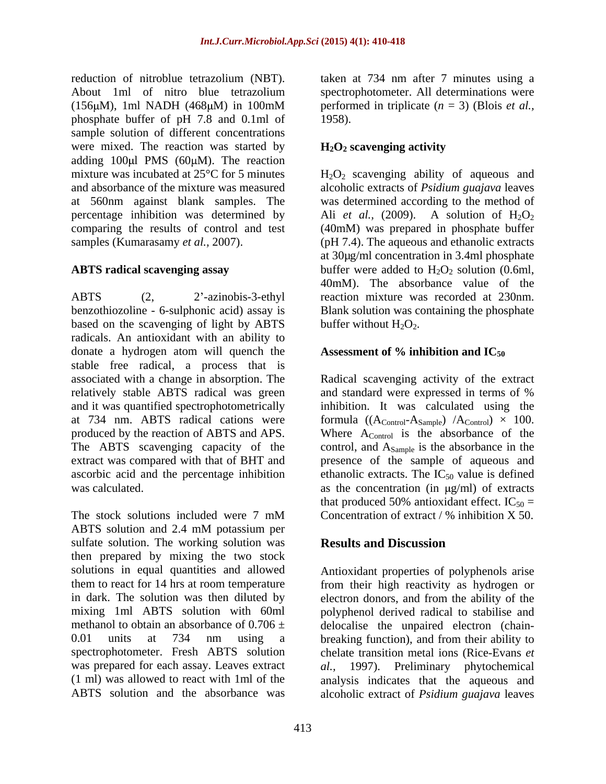reduction of nitroblue tetrazolium (NBT). taken at 734 nm after 7 minutes using a About 1ml of nitro blue tetrazolium spectrophotometer. All determinations were (156 $\mu$ M), 1ml NADH (468 $\mu$ M) in 100mM performed in triplicate ( $n = 3$ ) (Blois *et al.*, phosphate buffer of pH 7.8 and 0.1ml of sample solution of different concentrations were mixed. The reaction was started by  $H_2O_2$  scavenging activity adding  $100 \mu l$  PMS ( $60 \mu M$ ). The reaction mixture was incubated at 25 $\mathrm{^{\circ}C}$  for 5 minutes  $\mathrm{H}_2\mathrm{O}_2$  scavenging ability of aqueous and and absorbance of the mixture was measured alcoholic extracts of *Psidium guajava* leaves at 560nm against blank samples. The was determined according to the method of percentage inhibition was determined by Ali et al., (2009). A solution of  $H_2O_2$ comparing the results of control and test (40mM) was prepared in phosphate buffer samples (Kumarasamy *et al.*, 2007). (pH 7.4). The aqueous and ethanolic extracts

ABTS (2, 2 -azinobis-3-ethyl reaction mixture was recorded at 230nm. benzothiozoline - 6-sulphonic acid) assay is Blank solution was containing the phosphate based on the scavenging of light by ABTS radicals. An antioxidant with an ability to donate a hydrogen atom will quench the stable free radical, a process that is associated with a change in absorption. The Radical scavenging activity of the extract relatively stable ABTS radical was green and standard were expressed in terms of % and it was quantified spectrophotometrically at 734 nm. ABTS radical cations were formula  $((A_{\text{Control}}-A_{\text{Sample}})/A_{\text{Control}}) \times 100$ . produced by the reaction of ABTS and APS. Where  $A_{\text{Control}}$  is the absorbance of the The ABTS scavenging capacity of the control, and A<sub>Sample</sub> is the absorbance in the extract was compared with that of BHT and presence of the sample of aqueous and ascorbic acid and the percentage inhibition ethanolic extracts. The  $IC_{50}$  value is defined was calculated.  $\qquad \qquad \text{as the concentration (in µg/ml) of extracts}$ 

The stock solutions included were  $7 \text{ mM}$  Concentration of extract / % inhibition X 50. ABTS solution and 2.4 mM potassium per sulfate solution. The working solution was **Results and Discussion** then prepared by mixing the two stock solutions in equal quantities and allowed Antioxidant properties of polyphenols arise them to react for 14 hrs at room temperature from their high reactivity as hydrogen or in dark. The solution was then diluted by electron donors, and from the ability of the mixing 1ml ABTS solution with 60ml polyphenol derived radical to stabilise and methanol to obtain an absorbance of  $0.706 \pm$  delocalise the unpaired electron (chain-0.01 units at 734 nm using a breaking function), and from their ability to spectrophotometer. Fresh ABTS solution chelate transition metal ions (Rice-Evans *et*  was prepared for each assay. Leaves extract *al.,* 1997). Preliminary phytochemical (1 ml) was allowed to react with 1ml of the analysis indicates that the aqueous and

performed in triplicate (*n* = 3) (Blois *et al.,* 1958).

# **H2O2 scavenging activity**

**ABTS radical scavenging assay** buffer were added to H<sub>2</sub>O<sub>2</sub> solution (0.6ml, Ali *et al.*, (2009). A solution of  $H_2O_2$ at 30µg/ml concentration in 3.4ml phosphate 40mM). The absorbance value of the buffer without  $H_2O_2$ .

# Assessment of % inhibition and IC<sub>50</sub>

and standard were expressed in terms of % inhibition. It was calculated using the that produced 50% antioxidant effect.  $IC_{50} =$ Concentration of extract / % inhibition X 50.

# **Results and Discussion**

ABTS solution and the absorbance was alcoholic extract of *Psidium guajava* leaves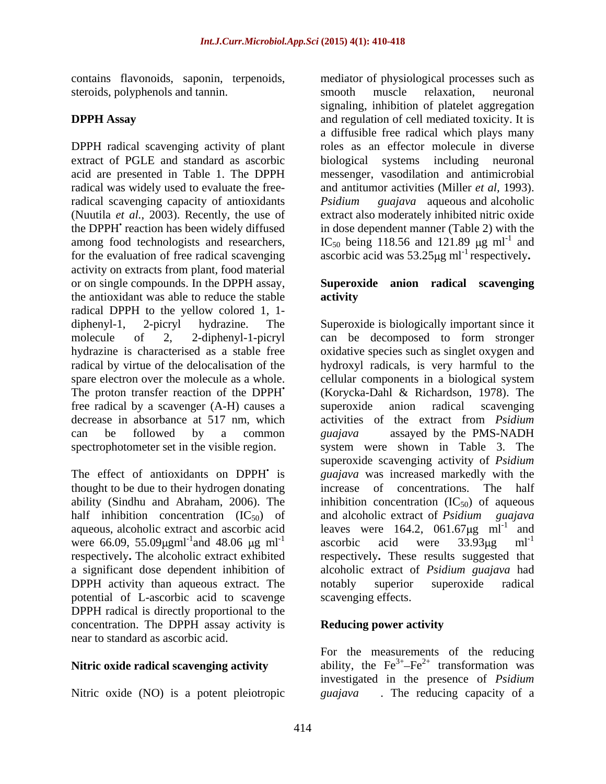contains flavonoids, saponin, terpenoids, steroids, polyphenols and tannin. Smooth muscle relaxation, neuronal

DPPH radical scavenging activity of plant radical was widely used to evaluate the freeradical scavenging capacity of antioxidants *Psidium guajava* aqueous and alcoholic the DPPH<sup>'</sup> reaction has been widely diffused for the evaluation of free radical scavenging activity on extracts from plant, food material or on single compounds. In the DPPH assay, **Superoxide anion radical scavenging** the antioxidant was able to reduce the stable radical DPPH to the yellow colored 1, 1 spare electron over the molecule as a whole. cellular components in a biological system free radical by a scavenger (A-H) causes a

thought to be due to their hydrogen donating increase of concentrations. The half were 66.09, 55.09 $\mu$ gml<sup>-1</sup> and 48.06  $\mu$ g ml<sup>-1</sup> ascorbic acid were 33.93 $\mu$ g ml<sup>-1</sup> DPPH activity than aqueous extract. The notably superior superoxide radical potential of L-ascorbic acid to scavenge DPPH radical is directly proportional to the concentration. The DPPH assay activity is **Reducing power activity** near to standard as ascorbic acid.

Nitric oxide (NO) is a potent pleiotropic *guajava* 

**DPPH Assay** and regulation of cell mediated toxicity. It is extract of PGLE and standard as ascorbic biological systems including neuronal acid are presented in Table 1. The DPPH messenger, vasodilation and antimicrobial (Nuutila *et al.,* 2003). Recently, the use of extract also moderately inhibited nitric oxide among food technologists and researchers,  $IC_{50}$  being 118.56 and 121.89  $\mu$ g ml<sup>-1</sup> and mediator of physiological processes such as smooth muscle relaxation, neuronal signaling, inhibition of platelet aggregation a diffusible free radical which plays many roles as an effector molecule in diverse and antitumor activities (Miller *et al,* 1993). *Psidium guajava* aqueous and alcoholic in dose dependent manner (Table 2) with the and ascorbic acid was  $53.25\mu\text{g}$  ml<sup>-1</sup> respectively.

# **activity**

diphenyl-1, 2-picryl hydrazine. The Superoxide is biologically important since it molecule of 2, 2-diphenyl-1-picryl can be decomposed to form stronger hydrazine is characterised as a stable free oxidative species such as singlet oxygen and radical by virtue of the delocalisation of the hydroxyl radicals, is very harmful to the The proton transfer reaction of the DPPH (Korycka-Dahl & Richardson, 1978). The decrease in absorbance at 517 nm, which activities of the extract from *Psidium*  can be followed by a common *guajava* assayed by the PMS-NADH spectrophotometer set in the visible region. system were shown in Table 3. The The effect of antioxidants on DPPH is *guajava* was increased markedly with the ability (Sindhu and Abraham, 2006). The inhibition concentration  $(IC_{50})$  of aqueous half inhibition concentration (IC<sub>50</sub>) of and alcoholic extract of *Psidium guajava* aqueous, alcoholic extract and ascorbic acid leaves were  $164.2$ ,  $061.67 \mu g$  ml<sup>-1</sup> and and 48.06  $\mu$ g ml<sup>-1</sup> ascorbic acid were 33.93 $\mu$ g ml<sup>-1</sup> respectively**.** The alcoholic extract exhibited respectively**.** These results suggested that a significant dose dependent inhibition of alcoholic extract of *Psidium guajava* had cellular components in a biological system anion radical scavenging superoxide scavenging activity of *Psidium*  increase of concentrations. ascorbic acid were  $33.93 \mu$ g ml<sup>-1</sup> notably superior superoxide radical scavenging effects.

# **Reducing power activity**

**Nitric oxide radical scavenging activity** ability, the  $Fe^{3+} - Fe^{2+}$  transformation was For the measurements of the reducing investigated in the presence of *Psidium*  . The reducing capacity of a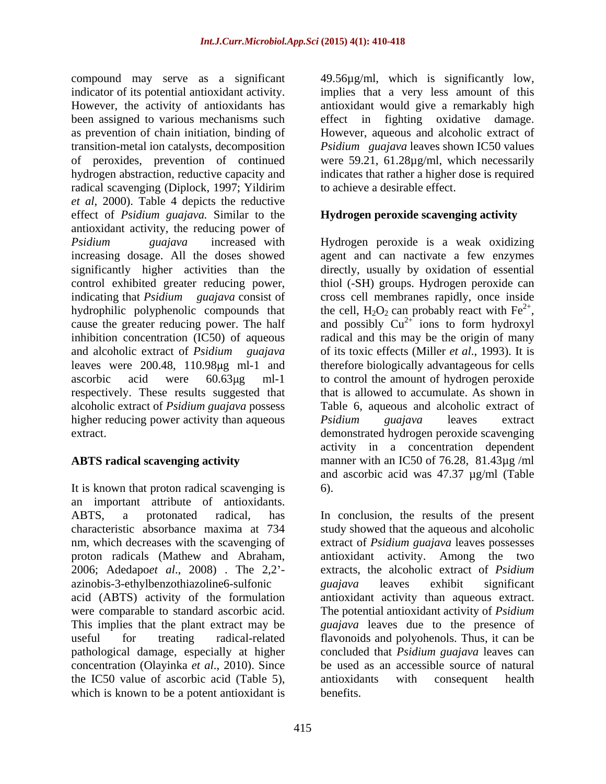compound may serve as a significant indicator of its potential antioxidant activity. implies that a very less amount of this However, the activity of antioxidants has antioxidant would give a remarkably high been assigned to various mechanisms such effect in fighting oxidative damage. as prevention of chain initiation, binding of However, aqueous and alcoholic extract of transition-metal ion catalysts, decomposition *Psidium guajava* leaves shown IC50 values of peroxides, prevention of continued were 59.21, 61.28µg/ml, which necessarily hydrogen abstraction, reductive capacity and indicates that rather a higher dose is required radical scavenging (Diplock, 1997; Yildirim *et al,* 2000). Table 4 depicts the reductive effect of *Psidium guajava.* Similar to the antioxidant activity, the reducing power of *Psidium guajava* increased with Hydrogen peroxide is a weak oxidizing increasing dosage. All the doses showed agent and can nactivate a few enzymes significantly higher activities than the control exhibited greater reducing power, thiol (-SH) groups. Hydrogen peroxide can indicating that *Psidium guajava* consist of cross cell membranes rapidly, once inside hydrophilic polyphenolic compounds that hydrophilic polyphenolic compounds that the cell,  $H_2O_2$  can probably react with  $Fe^{2+}$ , cause the greater reducing power. The half and possibly  $Cu^{2+}$  ions to form hydroxyl inhibition concentration (IC50) of aqueous radical and this may be the origin of many and alcoholic extract of *Psidium guajava* leaves were 200.48, 110.98µg ml-1 and therefore biologically advantageous for cells ascorbic acid were 60.63µg ml-1 to control the amount of hydrogen peroxide respectively. These results suggested that that is allowed to accumulate. As shown in alcoholic extract of *Psidium guajava* possess higher reducing power activity than aqueous *Psidium guajava* leaves extract extract. demonstrated hydrogen peroxide scavenging

It is known that proton radical scavenging is  $\qquad 6$ ). an important attribute of antioxidants. 2006; Adedapo*et al*., 2008) . The 2,2 azinobis-3-ethylbenzothiazoline6-sulfonic pathological damage, especially at higher the IC50 value of ascorbic acid (Table 5), which is known to be a potent antioxidant is

49.56µg/ml, which is significantly low, to achieve a desirable effect.

# **Hydrogen peroxide scavenging activity**

**ABTS radical scavenging activity** manner with an IC50 of 76.28, 81.43µg /ml directly, usually by oxidation of essential the cell,  $H_2O_2$  can probably react with  $Fe^{2+}$ ,  $2+$  $2^+$  ions to form hydroxyl of its toxic effects (Miller *et al*., 1993). It is Table 6, aqueous and alcoholic extract of *Psidium guajava* leaves extract activity in a concentration dependent and ascorbic acid was 47.37 µg/ml (Table 6).

ABTS, a protonated radical, has In conclusion, the results of the present characteristic absorbance maxima at 734 study showed that the aqueous and alcoholic nm, which decreases with the scavenging of extract of *Psidium guajava* leaves possesses proton radicals (Mathew and Abraham, antioxidant activity. Among the two acid (ABTS) activity of the formulation antioxidant activity than aqueous extract. were comparable to standard ascorbic acid. The potential antioxidant activity of *Psidium*  This implies that the plant extract may be *guajava* leaves due to the presence of useful for treating radical-related flavonoids and polyohenols. Thus, it can be concentration (Olayinka *et al*., 2010). Since be used as an accessible source of natural extracts, the alcoholic extract of *Psidium guajava* leaves exhibit significant concluded that *Psidium guajava* leaves can antioxidants with consequent health benefits.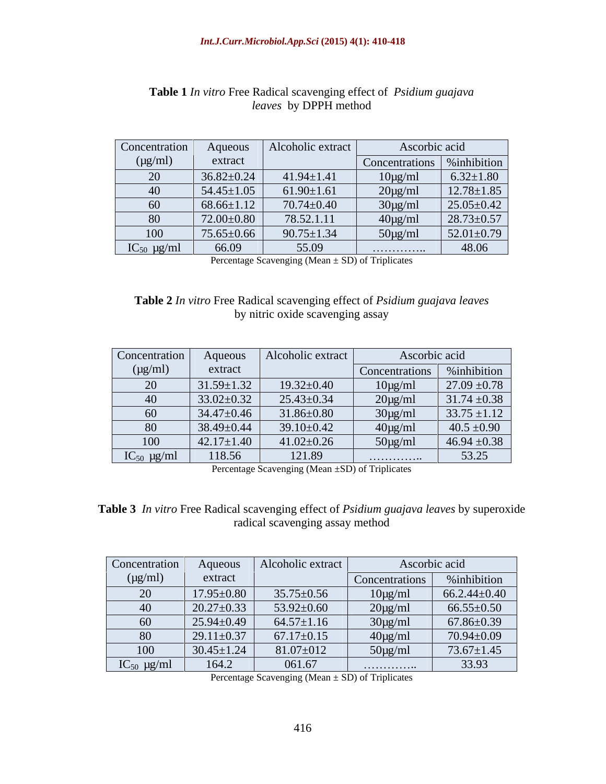| Concentration   | Aqueous                       | Alcoholic extract    | Ascorbic acid                 |                  |
|-----------------|-------------------------------|----------------------|-------------------------------|------------------|
| $(\mu g/ml)$    | extract                       |                      | Concentrations   % inhibition |                  |
| 20              | $36.82 \pm 0.24$              | $41.94 \pm 1.41$     | $10\mu\text{g/ml}$            | $6.32 \pm 1.80$  |
| 40              | $54.45 \pm 1.05$              | $61.90 \pm 1.61$     | $20\mu\text{g/ml}$            | $12.78 \pm 1.85$ |
| 60              | $68.66 \pm 1.12$              | $70.74 \pm 0.40$     | $30\mu g/ml$                  | $25.05 \pm 0.42$ |
| 80              | 72.00±0.80                    | 78.52.1.11           | $40\mu g/ml$                  | $28.73 \pm 0.57$ |
| 100             | $75.65 \pm 0.66$              | $90.75 \pm 1.34$     | $50\mu g/ml$                  | $52.01 \pm 0.79$ |
| $IC_{50}$ µg/ml | 66.09                         | 55.09                | . <b>.</b> .                  | 48.06            |
|                 | $\mathbf{r}$ and $\mathbf{r}$ | $\sim$ $\sim$ $\sim$ |                               |                  |

### **Table 1** *In vitro* Free Radical scavenging effect of *Psidium guajava leaves* by DPPH method

Percentage Scavenging (Mean ± SD) of Triplicates

### **Table 2** *In vitro* Free Radical scavenging effect of *Psidium guajava leaves* by nitric oxide scavenging assay

| Concentration   | Aqueous          | Alcoholic extract | Ascorbic acid  |                  |
|-----------------|------------------|-------------------|----------------|------------------|
| $(\mu g/ml)$    | extract          |                   | Concentrations | %inhibition      |
| 20              | $31.59 \pm 1.32$ | $19.32 \pm 0.40$  | $10\mu g/m$    | $27.09 \pm 0.78$ |
| 40              | $33.02 \pm 0.32$ | $25.43 \pm 0.34$  | $20\mu g/ml$   | $31.74 \pm 0.38$ |
| $\mathbf{u}$    | $34.47 \pm 0.46$ | $31.86 \pm 0.80$  | $30\mu g/ml$   | $33.75 \pm 1.12$ |
| 80              | $38.49 \pm 0.44$ | $39.10 \pm 0.42$  | $40\mu g/ml$   | $40.5 \pm 0.90$  |
| 100             | $42.17 \pm 1.40$ | $41.02 \pm 0.26$  | $50\mu g/ml$   | $46.94 \pm 0.38$ |
| $IC_{50}$ µg/ml | 118.56           | 121.89            | . <b>.</b>     | 53.25            |

Percentage Scavenging (Mean ±SD) of Triplicates

**Table 3** *In vitro* Free Radical scavenging effect of *Psidium guajava leaves* by superoxide radical scavenging assay method

| Concentration              | Aqueous          | Alcoholic extract | Ascorbic acid         |                    |
|----------------------------|------------------|-------------------|-----------------------|--------------------|
| $(\mu g/ml)$               | extract          |                   | <b>Concentrations</b> | %inhibition        |
| $\Omega$<br>$\omega$       | $17.95 \pm 0.80$ | $35.75 \pm 0.56$  | $10\mu g/ml$          | $66.2.44 \pm 0.40$ |
| $\Lambda$                  | $20.27 \pm 0.33$ | $53.92 \pm 0.60$  | $20\mu g/ml$          | $66.55 \pm 0.50$   |
| 60                         | $25.94 \pm 0.49$ | $64.57 \pm 1.16$  | $30\mu g/ml$          | $67.86 \pm 0.39$   |
| $\Omega$<br>$\overline{O}$ | $29.11 \pm 0.37$ | $67.17 \pm 0.15$  | $40\mu g/ml$          | $70.94 \pm 0.09$   |
| 100                        | $30.45 \pm 1.24$ | $81.07 \pm 012$   | $50\mu g/ml$          | $73.67 \pm 1.45$   |
| $IC_{50}$ µg/ml            | 164.2            | 061.67            | .                     | 33.93              |

Percentage Scavenging (Mean ± SD) of Triplicates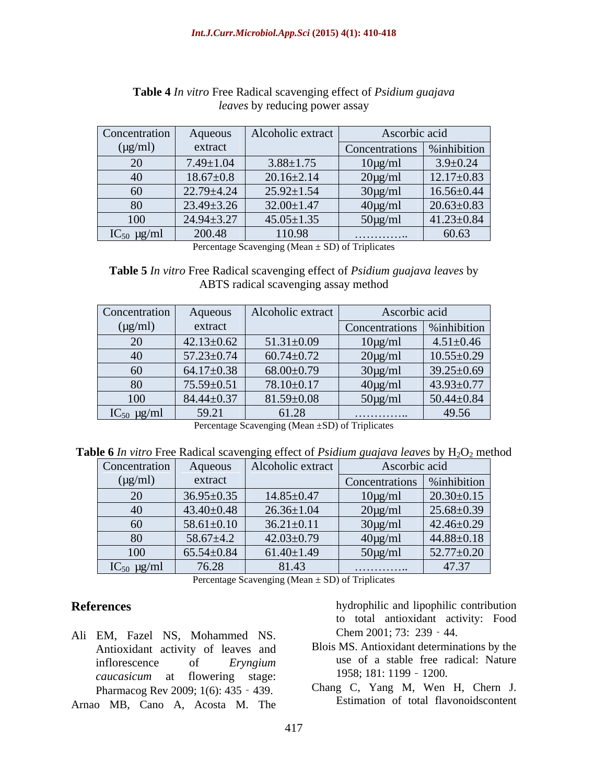| Concentration   | Aqueous          | Alcoholic extract | Ascorbic acid                 |                  |
|-----------------|------------------|-------------------|-------------------------------|------------------|
| $(\mu g/ml)$    | extract          |                   | Concentrations   % inhibition |                  |
| $\Omega$<br>້ບ  | $7.49 \pm 1.04$  | $3.88 \pm 1.75$   | $10\mu\text{g/ml}$            | $3.9 \pm 0.24$   |
|                 | $18.67 \pm 0.8$  | $20.16 \pm 2.14$  | $20\mu g/ml$                  | $12.17 \pm 0.83$ |
| 60              | $22.79 \pm 4.24$ | $25.92 \pm 1.54$  | $30\mu g/ml$                  | $16.56 \pm 0.44$ |
| 80              | $23.49 \pm 3.26$ | $32.00 \pm 1.47$  | $40\mu\text{g/ml}$            | $20.63 \pm 0.83$ |
| 100             | $24.94 \pm 3.27$ | $45.05 \pm 1.35$  | $50\mu g/ml$                  | $41.23 \pm 0.84$ |
| $IC_{50}$ µg/ml | 200.48           | 110.98            | .                             | 60.63            |

### **Table 4** *In vitro* Free Radical scavenging effect of *Psidium guajava leaves* by reducing power assay

Percentage Scavenging (Mean  $\pm$  SD) of Triplicates

**Table 5** *In vitro* Free Radical scavenging effect of *Psidium guajava leaves* by ABTS radical scavenging assay method

| Concentration              | Aqueous          | Alcoholic extract | Ascorbic acid                 |                  |
|----------------------------|------------------|-------------------|-------------------------------|------------------|
| $(\mu g/ml)$               | extract          |                   | Concentrations   % inhibition |                  |
| $\mathbf{a}$<br>$\angle U$ | $42.13 \pm 0.62$ | $51.31 \pm 0.09$  | $10\mu g/ml$                  | $4.51 \pm 0.46$  |
| +v                         | $57.23 \pm 0.74$ | $60.74 \pm 0.72$  | $20\mu g/ml$                  | $10.55 \pm 0.29$ |
| 60                         | $64.17 \pm 0.38$ | $68.00 \pm 0.79$  | $30\mu g/ml$                  | $39.25 \pm 0.69$ |
| 80                         | $75.59 \pm 0.51$ | $78.10 \pm 0.17$  | $40\mu g/ml$                  | $43.93 \pm 0.77$ |
| 100                        | $84.44 \pm 0.37$ | $81.59 \pm 0.08$  | $50\mu g/ml$                  | 50.44 $\pm$ 0.84 |
| $IC_{50}$ µg/ml            | 59.21            | 61.28             | .                             | 49.56            |

Percentage Scavenging (Mean ±SD) of Triplicates

**Table 6** *In vitro* Free Radical scavenging effect of *Psidium guajava leaves* by H<sub>2</sub>O<sub>2</sub> method

| Concentration   | Aqueous          | Alcoholic extract | Ascorbic acid                 |                  |
|-----------------|------------------|-------------------|-------------------------------|------------------|
| $(\mu g/ml)$    | extract          |                   | Concentrations   % inhibition |                  |
| 20              | $36.95 \pm 0.35$ | $14.85 \pm 0.47$  | $10\mu g/ml$                  | $20.30 \pm 0.15$ |
| 40              | $43.40 \pm 0.48$ | $26.36 \pm 1.04$  | $20\mu g/ml$                  | $25.68 \pm 0.39$ |
| 60              | $58.61 \pm 0.10$ | $36.21 \pm 0.11$  | $30\mu g/ml$                  | $42.46 \pm 0.29$ |
| 80              | $58.67 \pm 4.2$  | $42.03 \pm 0.79$  | $40\mu g/ml$                  | $44.88 \pm 0.18$ |
| 100             | $65.54 \pm 0.84$ | $61.40 \pm 1.49$  | $50\mu g/ml$                  | $52.77 \pm 0.20$ |
| $IC_{50}$ µg/ml | 76.28            | 81.43             | .                             | 47.37            |

Percentage Scavenging (Mean  $\pm$  SD) of Triplicates

- Ali EM, Fazel NS, Mohammed NS. Antioxidant activity of leaves and *caucasicum* at flowering stage: 1958; 181: 1199 - 1200. Pharmacog Rev 2009; 1(6): 435 - 439.
- Arnao MB, Cano A, Acosta M. The

**References** hydrophilic and lipophilic contribution to total antioxidant activity: Food Chem  $2001$ ; 73:  $239 - 44$ .

- inflorescence of *Eryngium* use of a stable free radical: Nature Blois MS. Antioxidant determinations by the 1958; 181: 1199 - 1200.
	- Chang C, Yang M, Wen H, Chern J. Estimation of total flavonoidscontent